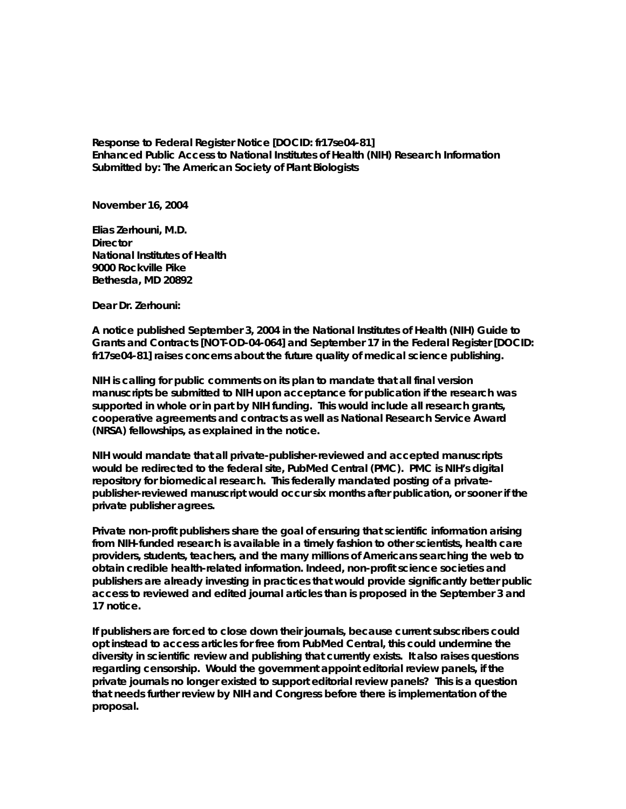**Response to Federal Register Notice [DOCID: fr17se04-81] Enhanced Public Access to National Institutes of Health (NIH) Research Information Submitted by: The American Society of Plant Biologists** 

**November 16, 2004** 

**Elias Zerhouni, M.D. Director National Institutes of Health 9000 Rockville Pike Bethesda, MD 20892** 

**Dear Dr. Zerhouni:** 

**A notice published September 3, 2004 in the National Institutes of Health (NIH) Guide to Grants and Contracts [NOT-OD-04-064] and September 17 in the Federal Register [DOCID: fr17se04-81] raises concerns about the future quality of medical science publishing.** 

**NIH is calling for public comments on its plan to mandate that all final version manuscripts be submitted to NIH upon acceptance for publication if the research was supported in whole or in part by NIH funding. This would include all research grants, cooperative agreements and contracts as well as National Research Service Award (NRSA) fellowships, as explained in the notice.** 

**NIH would mandate that all private-publisher-reviewed and accepted manuscripts would be redirected to the federal site, PubMed Central (PMC). PMC is NIH's digital repository for biomedical research. This federally mandated posting of a privatepublisher-reviewed manuscript would occur six months after publication, or sooner if the private publisher agrees.** 

**Private non-profit publishers share the goal of ensuring that scientific information arising from NIH-funded research is available in a timely fashion to other scientists, health care providers, students, teachers, and the many millions of Americans searching the web to obtain credible health-related information. Indeed, non-profit science societies and publishers are already investing in practices that would provide significantly better public access to reviewed and edited journal articles than is proposed in the September 3 and 17 notice.** 

**If publishers are forced to close down their journals, because current subscribers could opt instead to access articles for free from PubMed Central, this could undermine the diversity in scientific review and publishing that currently exists. It also raises questions regarding censorship. Would the government appoint editorial review panels, if the private journals no longer existed to support editorial review panels? This is a question that needs further review by NIH and Congress before there is implementation of the proposal.**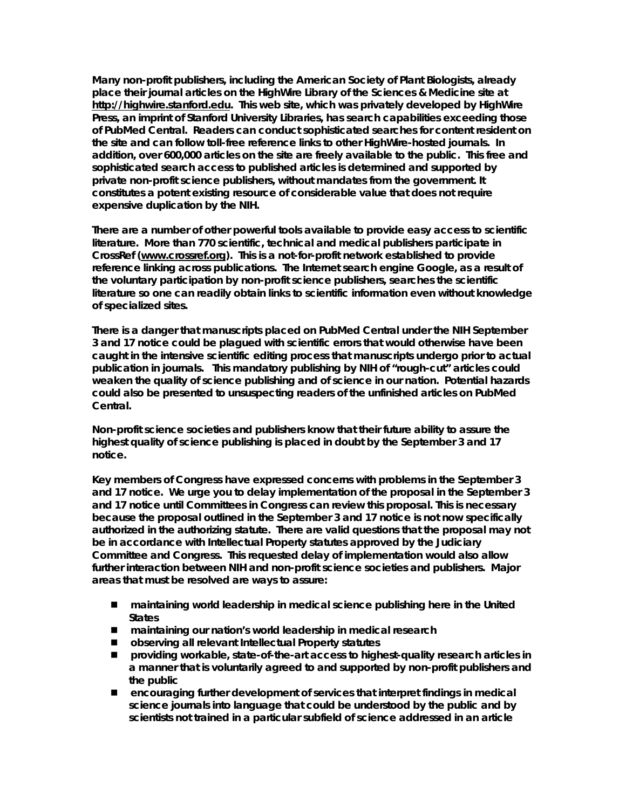**Many non-profit publishers, including the American Society of Plant Biologists, already place their journal articles on the HighWire Library of the Sciences & Medicine site at [http://highwire.stanford.edu](http://highwire.stanford.edu/). This web site, which was privately developed by HighWire Press, an imprint of Stanford University Libraries, has search capabilities exceeding those of PubMed Central. Readers can conduct sophisticated searches for content resident on the site and can follow toll-free reference links to other HighWire-hosted journals. In addition, over 600,000 articles on the site are freely available to the public. This free and sophisticated search access to published articles is determined and supported by private non-profit science publishers, without mandates from the government. It constitutes a potent existing resource of considerable value that does not require expensive duplication by the NIH.** 

**There are a number of other powerful tools available to provide easy access to scientific literature. More than 770 scientific, technical and medical publishers participate in CrossRef ([www.crossref.org\)](http://www.crossref.org/). This is a not-for-profit network established to provide reference linking across publications. The Internet search engine Google, as a result of the voluntary participation by non-profit science publishers, searches the scientific literature so one can readily obtain links to scientific information even without knowledge of specialized sites.** 

**There is a danger that manuscripts placed on PubMed Central under the NIH September 3 and 17 notice could be plagued with scientific errors that would otherwise have been caught in the intensive scientific editing process that manuscripts undergo prior to actual publication in journals. This mandatory publishing by NIH of "rough-cut" articles could weaken the quality of science publishing and of science in our nation. Potential hazards could also be presented to unsuspecting readers of the unfinished articles on PubMed Central.** 

**Non-profit science societies and publishers know that their future ability to assure the highest quality of science publishing is placed in doubt by the September 3 and 17 notice.** 

**Key members of Congress have expressed concerns with problems in the September 3 and 17 notice. We urge you to delay implementation of the proposal in the September 3 and 17 notice until Committees in Congress can review this proposal. This is necessary because the proposal outlined in the September 3 and 17 notice is not now specifically authorized in the authorizing statute. There are valid questions that the proposal may not be in accordance with Intellectual Property statutes approved by the Judiciary Committee and Congress. This requested delay of implementation would also allow further interaction between NIH and non-profit science societies and publishers. Major areas that must be resolved are ways to assure:** 

- maintaining world leadership in medical science publishing here in the United **States**
- maintaining our nation's world leadership in medical research
- **observing all relevant Intellectual Property statutes**
- providing workable, state-of-the-art access to highest-quality research articles in **a manner that is voluntarily agreed to and supported by non-profit publishers and the public**
- **encouraging further development of services that interpret findings in medical science journals into language that could be understood by the public and by scientists not trained in a particular subfield of science addressed in an article**